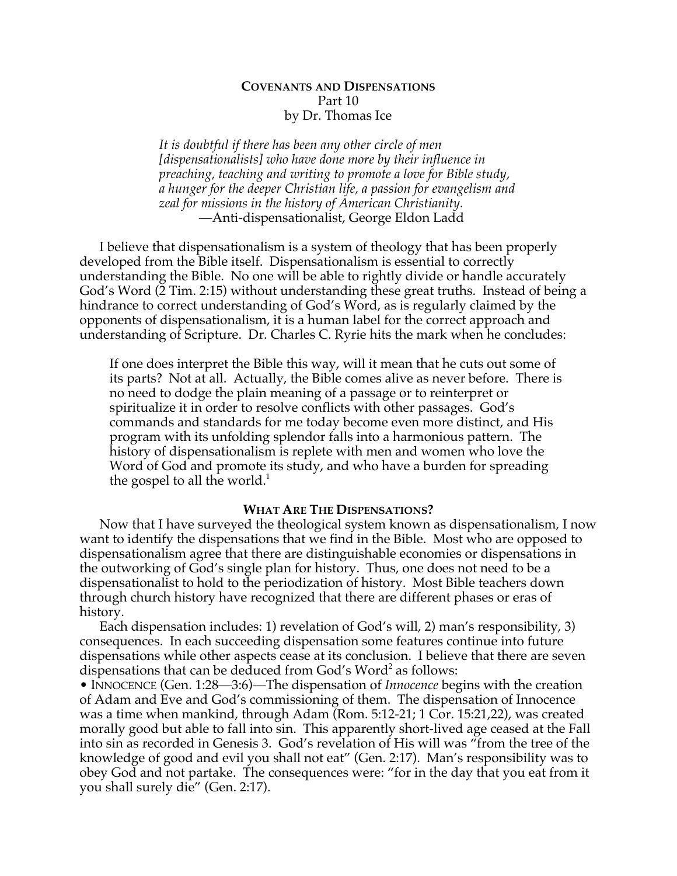# **COVENANTS AND DISPENSATIONS** Part 10 by Dr. Thomas Ice

*It is doubtful if there has been any other circle of men [dispensationalists] who have done more by their influence in preaching, teaching and writing to promote a love for Bible study, a hunger for the deeper Christian life, a passion for evangelism and zeal for missions in the history of American Christianity.* —Anti-dispensationalist, George Eldon Ladd

I believe that dispensationalism is a system of theology that has been properly developed from the Bible itself. Dispensationalism is essential to correctly understanding the Bible. No one will be able to rightly divide or handle accurately God's Word (2 Tim. 2:15) without understanding these great truths. Instead of being a hindrance to correct understanding of God's Word, as is regularly claimed by the opponents of dispensationalism, it is a human label for the correct approach and understanding of Scripture. Dr. Charles C. Ryrie hits the mark when he concludes:

If one does interpret the Bible this way, will it mean that he cuts out some of its parts? Not at all. Actually, the Bible comes alive as never before. There is no need to dodge the plain meaning of a passage or to reinterpret or spiritualize it in order to resolve conflicts with other passages. God's commands and standards for me today become even more distinct, and His program with its unfolding splendor falls into a harmonious pattern. The history of dispensationalism is replete with men and women who love the Word of God and promote its study, and who have a burden for spreading the gospel to all the world.<sup>1</sup>

# **WHAT ARE THE DISPENSATIONS?**

Now that I have surveyed the theological system known as dispensationalism, I now want to identify the dispensations that we find in the Bible. Most who are opposed to dispensationalism agree that there are distinguishable economies or dispensations in the outworking of God's single plan for history. Thus, one does not need to be a dispensationalist to hold to the periodization of history. Most Bible teachers down through church history have recognized that there are different phases or eras of history.

Each dispensation includes: 1) revelation of God's will, 2) man's responsibility, 3) consequences. In each succeeding dispensation some features continue into future dispensations while other aspects cease at its conclusion. I believe that there are seven dispensations that can be deduced from God's Word<sup>2</sup> as follows:

• INNOCENCE (Gen. 1:28—3:6)—The dispensation of *Innocence* begins with the creation of Adam and Eve and God's commissioning of them. The dispensation of Innocence was a time when mankind, through Adam (Rom. 5:12-21; 1 Cor. 15:21,22), was created morally good but able to fall into sin. This apparently short-lived age ceased at the Fall into sin as recorded in Genesis 3. God's revelation of His will was "from the tree of the knowledge of good and evil you shall not eat" (Gen. 2:17). Man's responsibility was to obey God and not partake. The consequences were: "for in the day that you eat from it you shall surely die" (Gen. 2:17).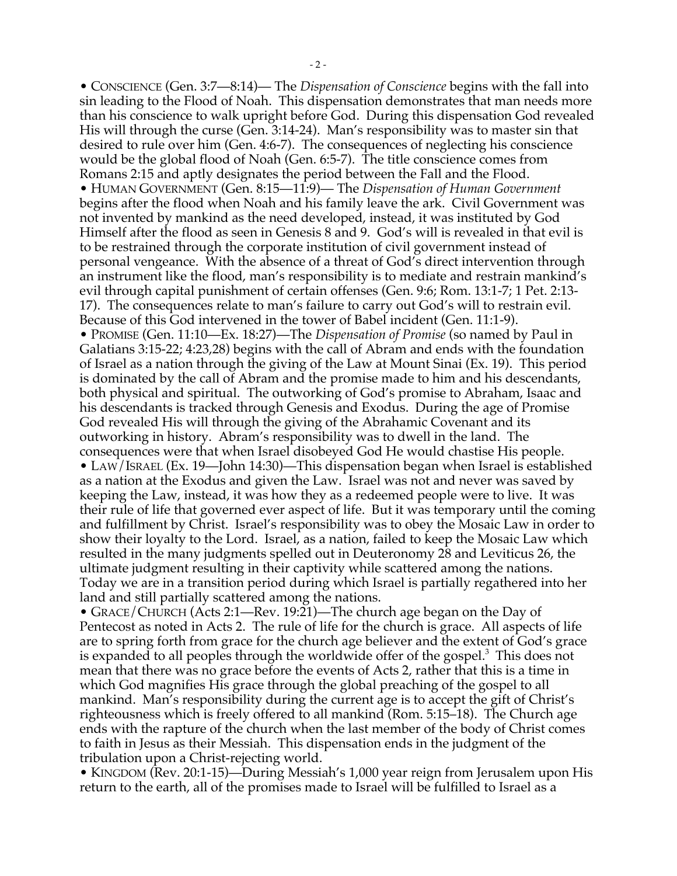• CONSCIENCE (Gen. 3:7—8:14)— The *Dispensation of Conscience* begins with the fall into sin leading to the Flood of Noah. This dispensation demonstrates that man needs more than his conscience to walk upright before God. During this dispensation God revealed His will through the curse (Gen. 3:14-24). Man's responsibility was to master sin that desired to rule over him (Gen. 4:6-7). The consequences of neglecting his conscience would be the global flood of Noah (Gen. 6:5-7). The title conscience comes from Romans 2:15 and aptly designates the period between the Fall and the Flood. • HUMAN GOVERNMENT (Gen. 8:15—11:9)— The *Dispensation of Human Government* begins after the flood when Noah and his family leave the ark. Civil Government was not invented by mankind as the need developed, instead, it was instituted by God Himself after the flood as seen in Genesis 8 and 9. God's will is revealed in that evil is to be restrained through the corporate institution of civil government instead of personal vengeance. With the absence of a threat of God's direct intervention through an instrument like the flood, man's responsibility is to mediate and restrain mankind's evil through capital punishment of certain offenses (Gen. 9:6; Rom. 13:1-7; 1 Pet. 2:13- 17). The consequences relate to man's failure to carry out God's will to restrain evil. Because of this God intervened in the tower of Babel incident (Gen. 11:1-9). • PROMISE (Gen. 11:10—Ex. 18:27)—The *Dispensation of Promise* (so named by Paul in Galatians 3:15-22; 4:23,28) begins with the call of Abram and ends with the foundation of Israel as a nation through the giving of the Law at Mount Sinai (Ex. 19). This period is dominated by the call of Abram and the promise made to him and his descendants, both physical and spiritual. The outworking of God's promise to Abraham, Isaac and his descendants is tracked through Genesis and Exodus. During the age of Promise God revealed His will through the giving of the Abrahamic Covenant and its outworking in history. Abram's responsibility was to dwell in the land. The consequences were that when Israel disobeyed God He would chastise His people. • LAW/ISRAEL (Ex. 19—John 14:30)—This dispensation began when Israel is established as a nation at the Exodus and given the Law. Israel was not and never was saved by keeping the Law, instead, it was how they as a redeemed people were to live. It was their rule of life that governed ever aspect of life. But it was temporary until the coming and fulfillment by Christ. Israel's responsibility was to obey the Mosaic Law in order to show their loyalty to the Lord. Israel, as a nation, failed to keep the Mosaic Law which resulted in the many judgments spelled out in Deuteronomy 28 and Leviticus 26, the ultimate judgment resulting in their captivity while scattered among the nations. Today we are in a transition period during which Israel is partially regathered into her land and still partially scattered among the nations.

• GRACE/CHURCH (Acts 2:1—Rev. 19:21)—The church age began on the Day of Pentecost as noted in Acts 2. The rule of life for the church is grace. All aspects of life are to spring forth from grace for the church age believer and the extent of God's grace is expanded to all peoples through the worldwide offer of the gospel.<sup>3</sup> This does not mean that there was no grace before the events of Acts 2, rather that this is a time in which God magnifies His grace through the global preaching of the gospel to all mankind. Man's responsibility during the current age is to accept the gift of Christ's righteousness which is freely offered to all mankind (Rom. 5:15–18). The Church age ends with the rapture of the church when the last member of the body of Christ comes to faith in Jesus as their Messiah. This dispensation ends in the judgment of the tribulation upon a Christ-rejecting world.

• KINGDOM (Rev. 20:1-15)—During Messiah's 1,000 year reign from Jerusalem upon His return to the earth, all of the promises made to Israel will be fulfilled to Israel as a